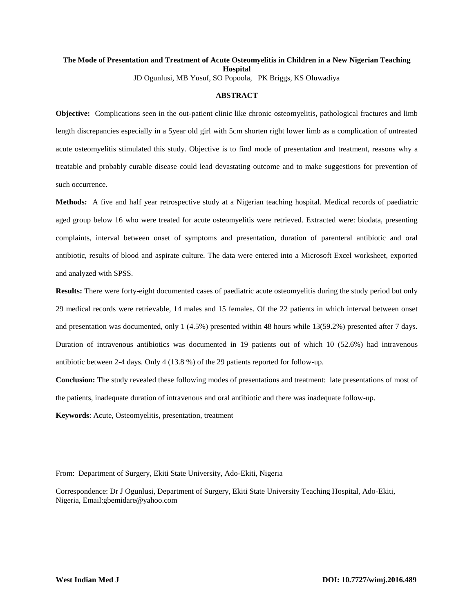#### **The Mode of Presentation and Treatment of Acute Osteomyelitis in Children in a New Nigerian Teaching Hospital** JD Ogunlusi, MB Yusuf, SO Popoola, PK Briggs, KS Oluwadiya

#### **ABSTRACT**

**Objective:** Complications seen in the out-patient clinic like chronic osteomyelitis, pathological fractures and limb length discrepancies especially in a 5year old girl with 5cm shorten right lower limb as a complication of untreated acute osteomyelitis stimulated this study. Objective is to find mode of presentation and treatment, reasons why a treatable and probably curable disease could lead devastating outcome and to make suggestions for prevention of such occurrence.

**Methods:** A five and half year retrospective study at a Nigerian teaching hospital. Medical records of paediatric aged group below 16 who were treated for acute osteomyelitis were retrieved. Extracted were: biodata, presenting complaints, interval between onset of symptoms and presentation, duration of parenteral antibiotic and oral antibiotic, results of blood and aspirate culture. The data were entered into a Microsoft Excel worksheet, exported and analyzed with SPSS.

**Results:** There were forty-eight documented cases of paediatric acute osteomyelitis during the study period but only 29 medical records were retrievable, 14 males and 15 females. Of the 22 patients in which interval between onset and presentation was documented, only 1 (4.5%) presented within 48 hours while 13(59.2%) presented after 7 days. Duration of intravenous antibiotics was documented in 19 patients out of which 10 (52.6%) had intravenous antibiotic between 2-4 days. Only 4 (13.8 %) of the 29 patients reported for follow-up.

**Conclusion:** The study revealed these following modes of presentations and treatment: late presentations of most of the patients, inadequate duration of intravenous and oral antibiotic and there was inadequate follow-up.

**Keywords**: Acute, Osteomyelitis, presentation, treatment

Correspondence: Dr J Ogunlusi, Department of Surgery, Ekiti State University Teaching Hospital, Ado-Ekiti, Nigeria, Email:gbemidare@yahoo.com

From: Department of Surgery, Ekiti State University, Ado-Ekiti, Nigeria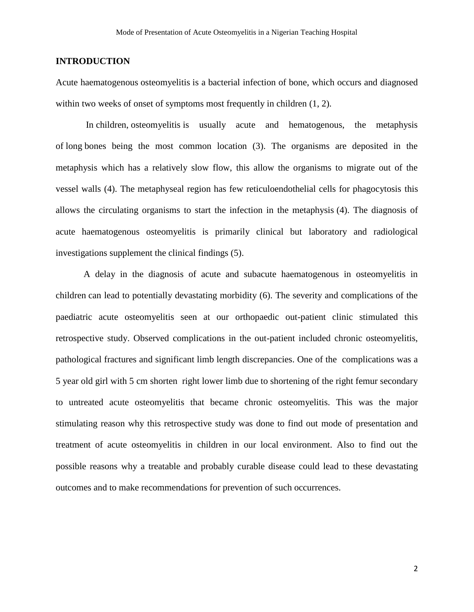# **INTRODUCTION**

Acute haematogenous osteomyelitis is a bacterial infection of bone, which occurs and diagnosed within two weeks of onset of symptoms most frequently in children  $(1, 2)$ .

In children, osteomyelitis is usually acute and hematogenous, the metaphysis of long bones being the most common location (3). The organisms are deposited in the metaphysis which has a relatively slow flow, this allow the organisms to migrate out of the vessel walls (4). The metaphyseal region has few reticuloendothelial cells for phagocytosis this allows the circulating organisms to start the infection in the metaphysis (4). The diagnosis of acute haematogenous osteomyelitis is primarily clinical but laboratory and radiological investigations supplement the clinical findings (5).

A delay in the diagnosis of acute and subacute haematogenous in osteomyelitis in children can lead to potentially devastating morbidity (6). The severity and complications of the paediatric acute osteomyelitis seen at our orthopaedic out-patient clinic stimulated this retrospective study. Observed complications in the out-patient included chronic osteomyelitis, pathological fractures and significant limb length discrepancies. One of the complications was a 5 year old girl with 5 cm shorten right lower limb due to shortening of the right femur secondary to untreated acute osteomyelitis that became chronic osteomyelitis. This was the major stimulating reason why this retrospective study was done to find out mode of presentation and treatment of acute osteomyelitis in children in our local environment. Also to find out the possible reasons why a treatable and probably curable disease could lead to these devastating outcomes and to make recommendations for prevention of such occurrences.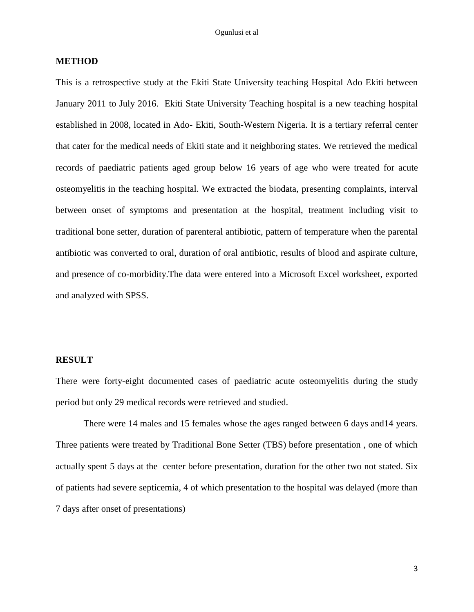# **METHOD**

This is a retrospective study at the Ekiti State University teaching Hospital Ado Ekiti between January 2011 to July 2016. Ekiti State University Teaching hospital is a new teaching hospital established in 2008, located in Ado- Ekiti, South-Western Nigeria. It is a tertiary referral center that cater for the medical needs of Ekiti state and it neighboring states. We retrieved the medical records of paediatric patients aged group below 16 years of age who were treated for acute osteomyelitis in the teaching hospital. We extracted the biodata, presenting complaints, interval between onset of symptoms and presentation at the hospital, treatment including visit to traditional bone setter, duration of parenteral antibiotic, pattern of temperature when the parental antibiotic was converted to oral, duration of oral antibiotic, results of blood and aspirate culture, and presence of co-morbidity.The data were entered into a Microsoft Excel worksheet, exported and analyzed with SPSS.

## **RESULT**

There were forty-eight documented cases of paediatric acute osteomyelitis during the study period but only 29 medical records were retrieved and studied.

There were 14 males and 15 females whose the ages ranged between 6 days and14 years. Three patients were treated by Traditional Bone Setter (TBS) before presentation , one of which actually spent 5 days at the center before presentation, duration for the other two not stated. Six of patients had severe septicemia, 4 of which presentation to the hospital was delayed (more than 7 days after onset of presentations)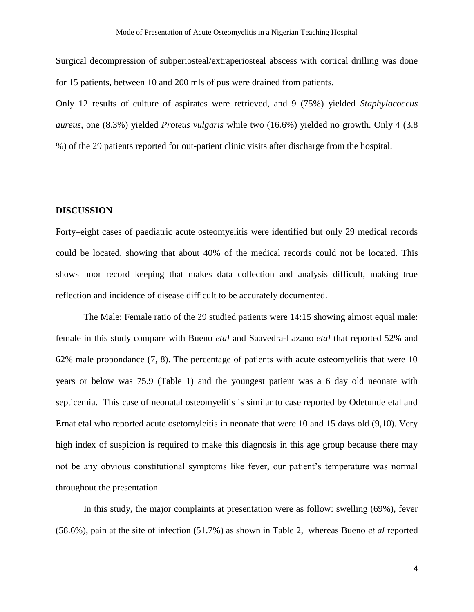Surgical decompression of subperiosteal/extraperiosteal abscess with cortical drilling was done for 15 patients, between 10 and 200 mls of pus were drained from patients.

Only 12 results of culture of aspirates were retrieved, and 9 (75%) yielded *Staphylococcus aureus*, one (8.3%) yielded *Proteus vulgaris* while two (16.6%) yielded no growth. Only 4 (3.8 %) of the 29 patients reported for out-patient clinic visits after discharge from the hospital.

## **DISCUSSION**

Forty–eight cases of paediatric acute osteomyelitis were identified but only 29 medical records could be located, showing that about 40% of the medical records could not be located. This shows poor record keeping that makes data collection and analysis difficult, making true reflection and incidence of disease difficult to be accurately documented.

The Male: Female ratio of the 29 studied patients were 14:15 showing almost equal male: female in this study compare with Bueno *etal* and Saavedra-Lazano *etal* that reported 52% and 62% male propondance (7, 8). The percentage of patients with acute osteomyelitis that were 10 years or below was 75.9 (Table 1) and the youngest patient was a 6 day old neonate with septicemia. This case of neonatal osteomyelitis is similar to case reported by Odetunde etal and Ernat etal who reported acute osetomyleitis in neonate that were 10 and 15 days old (9,10). Very high index of suspicion is required to make this diagnosis in this age group because there may not be any obvious constitutional symptoms like fever, our patient's temperature was normal throughout the presentation.

In this study, the major complaints at presentation were as follow: swelling (69%), fever (58.6%), pain at the site of infection (51.7%) as shown in Table 2, whereas Bueno *et al* reported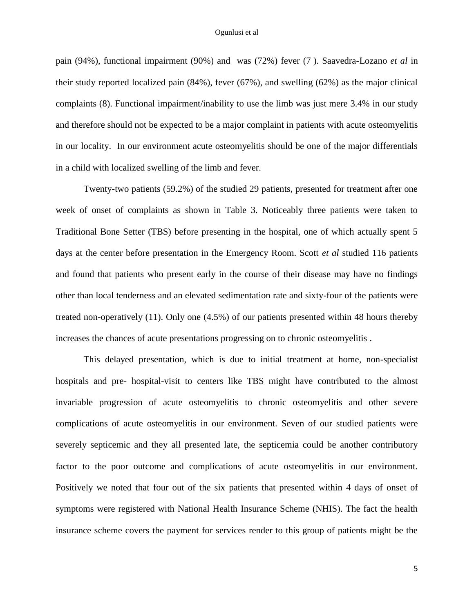pain (94%), functional impairment (90%) and was (72%) fever (7 ). Saavedra-Lozano *et al* in their study reported localized pain (84%), fever (67%), and swelling (62%) as the major clinical complaints (8). Functional impairment/inability to use the limb was just mere 3.4% in our study and therefore should not be expected to be a major complaint in patients with acute osteomyelitis in our locality. In our environment acute osteomyelitis should be one of the major differentials in a child with localized swelling of the limb and fever.

Twenty-two patients (59.2%) of the studied 29 patients, presented for treatment after one week of onset of complaints as shown in Table 3. Noticeably three patients were taken to Traditional Bone Setter (TBS) before presenting in the hospital, one of which actually spent 5 days at the center before presentation in the Emergency Room. Scott *et al* studied 116 patients and found that patients who present early in the course of their disease may have no findings other than local tenderness and an elevated sedimentation rate and sixty-four of the patients were treated non-operatively (11). Only one (4.5%) of our patients presented within 48 hours thereby increases the chances of acute presentations progressing on to chronic osteomyelitis .

This delayed presentation, which is due to initial treatment at home, non-specialist hospitals and pre- hospital-visit to centers like TBS might have contributed to the almost invariable progression of acute osteomyelitis to chronic osteomyelitis and other severe complications of acute osteomyelitis in our environment. Seven of our studied patients were severely septicemic and they all presented late, the septicemia could be another contributory factor to the poor outcome and complications of acute osteomyelitis in our environment. Positively we noted that four out of the six patients that presented within 4 days of onset of symptoms were registered with National Health Insurance Scheme (NHIS). The fact the health insurance scheme covers the payment for services render to this group of patients might be the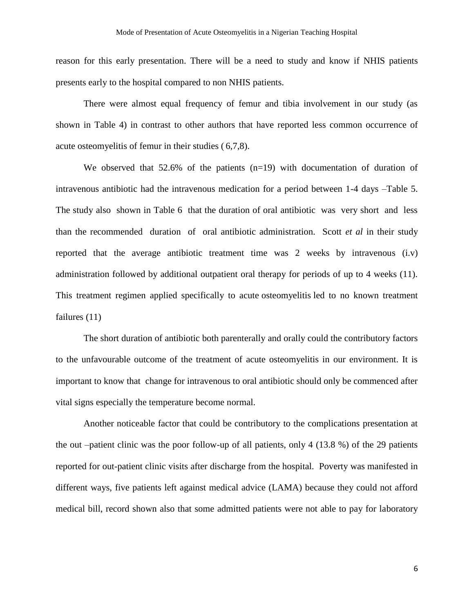reason for this early presentation. There will be a need to study and know if NHIS patients presents early to the hospital compared to non NHIS patients.

There were almost equal frequency of femur and tibia involvement in our study (as shown in Table 4) in contrast to other authors that have reported less common occurrence of acute osteomyelitis of femur in their studies ( 6,7,8).

We observed that 52.6% of the patients (n=19) with documentation of duration of intravenous antibiotic had the intravenous medication for a period between 1-4 days –Table 5. The study also shown in Table 6 that the duration of oral antibiotic was very short and less than the recommended duration of oral antibiotic administration. Scott *et al* in their study reported that the average antibiotic treatment time was 2 weeks by intravenous (i.v) administration followed by additional outpatient oral therapy for periods of up to 4 weeks (11). This treatment regimen applied specifically to acute osteomyelitis led to no known treatment failures (11)

The short duration of antibiotic both parenterally and orally could the contributory factors to the unfavourable outcome of the treatment of acute osteomyelitis in our environment. It is important to know that change for intravenous to oral antibiotic should only be commenced after vital signs especially the temperature become normal.

Another noticeable factor that could be contributory to the complications presentation at the out –patient clinic was the poor follow-up of all patients, only 4 (13.8 %) of the 29 patients reported for out-patient clinic visits after discharge from the hospital. Poverty was manifested in different ways, five patients left against medical advice (LAMA) because they could not afford medical bill, record shown also that some admitted patients were not able to pay for laboratory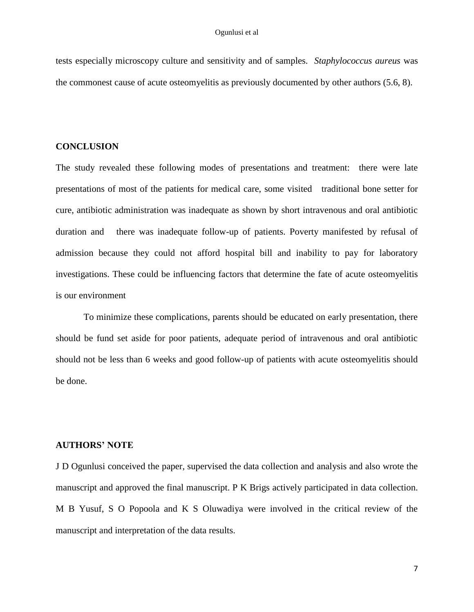tests especially microscopy culture and sensitivity and of samples. *Staphylococcus aureus* was the commonest cause of acute osteomyelitis as previously documented by other authors (5.6, 8).

## **CONCLUSION**

The study revealed these following modes of presentations and treatment: there were late presentations of most of the patients for medical care, some visited traditional bone setter for cure, antibiotic administration was inadequate as shown by short intravenous and oral antibiotic duration and there was inadequate follow-up of patients. Poverty manifested by refusal of admission because they could not afford hospital bill and inability to pay for laboratory investigations. These could be influencing factors that determine the fate of acute osteomyelitis is our environment

To minimize these complications, parents should be educated on early presentation, there should be fund set aside for poor patients, adequate period of intravenous and oral antibiotic should not be less than 6 weeks and good follow-up of patients with acute osteomyelitis should be done.

#### **AUTHORS' NOTE**

J D Ogunlusi conceived the paper, supervised the data collection and analysis and also wrote the manuscript and approved the final manuscript. P K Brigs actively participated in data collection. M B Yusuf, S O Popoola and K S Oluwadiya were involved in the critical review of the manuscript and interpretation of the data results.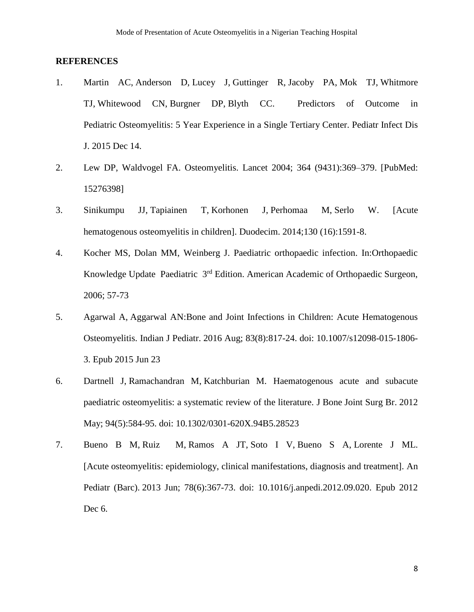## **REFERENCES**

- 1. [Martin AC,](http://www.ncbi.nlm.nih.gov/pubmed/?term=Martin%20AC%5BAuthor%5D&cauthor=true&cauthor_uid=26669740) [Anderson D,](http://www.ncbi.nlm.nih.gov/pubmed/?term=Anderson%20D%5BAuthor%5D&cauthor=true&cauthor_uid=26669740) [Lucey J,](http://www.ncbi.nlm.nih.gov/pubmed/?term=Lucey%20J%5BAuthor%5D&cauthor=true&cauthor_uid=26669740) [Guttinger R,](http://www.ncbi.nlm.nih.gov/pubmed/?term=Guttinger%20R%5BAuthor%5D&cauthor=true&cauthor_uid=26669740) [Jacoby PA,](http://www.ncbi.nlm.nih.gov/pubmed/?term=Jacoby%20PA%5BAuthor%5D&cauthor=true&cauthor_uid=26669740) [Mok TJ,](http://www.ncbi.nlm.nih.gov/pubmed/?term=Mok%20TJ%5BAuthor%5D&cauthor=true&cauthor_uid=26669740) [Whitmore](http://www.ncbi.nlm.nih.gov/pubmed/?term=Whitmore%20TJ%5BAuthor%5D&cauthor=true&cauthor_uid=26669740)  [TJ,](http://www.ncbi.nlm.nih.gov/pubmed/?term=Whitmore%20TJ%5BAuthor%5D&cauthor=true&cauthor_uid=26669740) [Whitewood CN,](http://www.ncbi.nlm.nih.gov/pubmed/?term=Whitewood%20CN%5BAuthor%5D&cauthor=true&cauthor_uid=26669740) [Burgner DP,](http://www.ncbi.nlm.nih.gov/pubmed/?term=Burgner%20DP%5BAuthor%5D&cauthor=true&cauthor_uid=26669740) [Blyth CC.](http://www.ncbi.nlm.nih.gov/pubmed/?term=Blyth%20CC%5BAuthor%5D&cauthor=true&cauthor_uid=26669740) Predictors of Outcome in Pediatric Osteomyelitis: 5 Year Experience in a Single Tertiary Center. [Pediatr Infect Dis](http://www.ncbi.nlm.nih.gov/pubmed/26669740)  [J.](http://www.ncbi.nlm.nih.gov/pubmed/26669740) 2015 Dec 14.
- 2. Lew DP, Waldvogel FA. Osteomyelitis. Lancet 2004; 364 (9431):369–379. [PubMed: 15276398]
- 3. [Sinikumpu JJ,](http://www.ncbi.nlm.nih.gov/pubmed/?term=Sinikumpu%20JJ%5BAuthor%5D&cauthor=true&cauthor_uid=25269364) [Tapiainen T,](http://www.ncbi.nlm.nih.gov/pubmed/?term=Tapiainen%20T%5BAuthor%5D&cauthor=true&cauthor_uid=25269364) [Korhonen J,](http://www.ncbi.nlm.nih.gov/pubmed/?term=Korhonen%20J%5BAuthor%5D&cauthor=true&cauthor_uid=25269364) [Perhomaa M,](http://www.ncbi.nlm.nih.gov/pubmed/?term=Perhomaa%20M%5BAuthor%5D&cauthor=true&cauthor_uid=25269364) [Serlo W.](http://www.ncbi.nlm.nih.gov/pubmed/?term=Serlo%20W%5BAuthor%5D&cauthor=true&cauthor_uid=25269364) [Acute hematogenous osteomyelitis in children]. [Duodecim.](http://www.ncbi.nlm.nih.gov/pubmed/25269364) 2014;130 (16):1591-8.
- 4. Kocher MS, Dolan MM, Weinberg J. Paediatric orthopaedic infection. In:Orthopaedic Knowledge Update Paediatric 3rd Edition. American Academic of Orthopaedic Surgeon, 2006; 57-73
- 5. [Agarwal A,](http://www.ncbi.nlm.nih.gov/pubmed/?term=Agarwal%20A%5BAuthor%5D&cauthor=true&cauthor_uid=26096866) Aggarwal AN:Bone and Joint Infections in Children: Acute Hematogenous Osteomyelitis. [Indian J Pediatr.](http://www.ncbi.nlm.nih.gov/pubmed/26096866) 2016 Aug; 83(8):817-24. doi: 10.1007/s12098-015-1806- 3. Epub 2015 Jun 23
- 6. [Dartnell J,](http://www.ncbi.nlm.nih.gov/pubmed/?term=Dartnell%20J%5BAuthor%5D&cauthor=true&cauthor_uid=22529075) [Ramachandran M,](http://www.ncbi.nlm.nih.gov/pubmed/?term=Ramachandran%20M%5BAuthor%5D&cauthor=true&cauthor_uid=22529075) [Katchburian M.](http://www.ncbi.nlm.nih.gov/pubmed/?term=Katchburian%20M%5BAuthor%5D&cauthor=true&cauthor_uid=22529075) Haematogenous acute and subacute paediatric osteomyelitis: a systematic review of the literature. J Bone [Joint Surg Br.](http://www.ncbi.nlm.nih.gov/pubmed/22529075) 2012 May; 94(5):584-95. doi: 10.1302/0301-620X.94B5.28523
- 7. [Bueno B M,](http://www.ncbi.nlm.nih.gov/pubmed/?term=Bueno%20Barriocanal%20M%5BAuthor%5D&cauthor=true&cauthor_uid=23219025) [Ruiz M,](http://www.ncbi.nlm.nih.gov/pubmed/?term=Ruiz%20Jim%C3%A9nez%20M%5BAuthor%5D&cauthor=true&cauthor_uid=23219025) [Ramos A JT,](http://www.ncbi.nlm.nih.gov/pubmed/?term=Ramos%20Amador%20JT%5BAuthor%5D&cauthor=true&cauthor_uid=23219025) [Soto I V,](http://www.ncbi.nlm.nih.gov/pubmed/?term=Soto%20Insuga%20V%5BAuthor%5D&cauthor=true&cauthor_uid=23219025) [Bueno S A,](http://www.ncbi.nlm.nih.gov/pubmed/?term=Bueno%20S%C3%A1nchez%20A%5BAuthor%5D&cauthor=true&cauthor_uid=23219025) [Lorente J ML.](http://www.ncbi.nlm.nih.gov/pubmed/?term=Lorente%20Jare%C3%B1o%20ML%5BAuthor%5D&cauthor=true&cauthor_uid=23219025) [Acute osteomyelitis: epidemiology, clinical manifestations, diagnosis and treatment]. [An](http://www.ncbi.nlm.nih.gov/pubmed/23219025)  [Pediatr \(Barc\).](http://www.ncbi.nlm.nih.gov/pubmed/23219025) 2013 Jun; 78(6):367-73. doi: 10.1016/j.anpedi.2012.09.020. Epub 2012 Dec 6.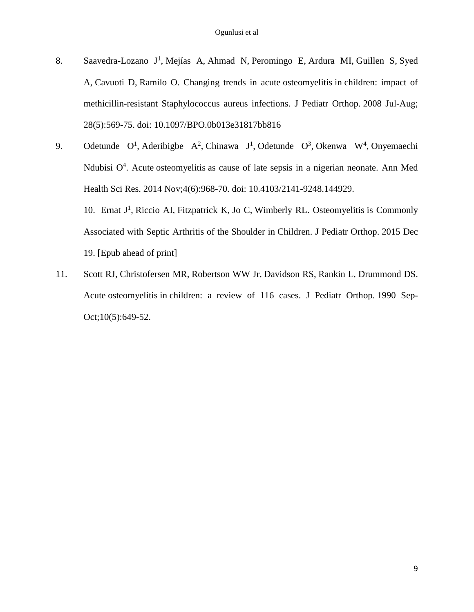- 8. [Saavedra-Lozano J](http://www.ncbi.nlm.nih.gov/pubmed/?term=Saavedra-Lozano%20J%5BAuthor%5D&cauthor=true&cauthor_uid=18580375)<sup>1</sup>, [Mejías A,](http://www.ncbi.nlm.nih.gov/pubmed/?term=Mej%C3%ADas%20A%5BAuthor%5D&cauthor=true&cauthor_uid=18580375) [Ahmad N,](http://www.ncbi.nlm.nih.gov/pubmed/?term=Ahmad%20N%5BAuthor%5D&cauthor=true&cauthor_uid=18580375) [Peromingo E,](http://www.ncbi.nlm.nih.gov/pubmed/?term=Peromingo%20E%5BAuthor%5D&cauthor=true&cauthor_uid=18580375) [Ardura MI,](http://www.ncbi.nlm.nih.gov/pubmed/?term=Ardura%20MI%5BAuthor%5D&cauthor=true&cauthor_uid=18580375) [Guillen S,](http://www.ncbi.nlm.nih.gov/pubmed/?term=Guillen%20S%5BAuthor%5D&cauthor=true&cauthor_uid=18580375) Syed [A,](http://www.ncbi.nlm.nih.gov/pubmed/?term=Syed%20A%5BAuthor%5D&cauthor=true&cauthor_uid=18580375) [Cavuoti D,](http://www.ncbi.nlm.nih.gov/pubmed/?term=Cavuoti%20D%5BAuthor%5D&cauthor=true&cauthor_uid=18580375) [Ramilo O.](http://www.ncbi.nlm.nih.gov/pubmed/?term=Ramilo%20O%5BAuthor%5D&cauthor=true&cauthor_uid=18580375) Changing trends in acute osteomyelitis in children: impact of methicillin-resistant Staphylococcus aureus infections. [J Pediatr Orthop.](http://www.ncbi.nlm.nih.gov/pubmed/18580375) 2008 Jul-Aug; 28(5):569-75. doi: 10.1097/BPO.0b013e31817bb816
- 9. [Odetunde O](http://www.ncbi.nlm.nih.gov/pubmed/?term=Odetunde%20O%5BAuthor%5D&cauthor=true&cauthor_uid=25506497)<sup>1</sup>, [Aderibigbe A](http://www.ncbi.nlm.nih.gov/pubmed/?term=Aderibigbe%20A%5BAuthor%5D&cauthor=true&cauthor_uid=25506497)<sup>2</sup>, [Chinawa J](http://www.ncbi.nlm.nih.gov/pubmed/?term=Chinawa%20J%5BAuthor%5D&cauthor=true&cauthor_uid=25506497)<sup>1</sup>, Odetunde O<sup>3</sup>, [Okenwa W](http://www.ncbi.nlm.nih.gov/pubmed/?term=Okenwa%20W%5BAuthor%5D&cauthor=true&cauthor_uid=25506497)<sup>4</sup>, Onyemaechi Ndubisi  $O<sup>4</sup>$ . Acute osteomyelitis as cause of late sepsis in a nigerian neonate. Ann Med [Health Sci Res.](http://www.ncbi.nlm.nih.gov/pubmed/25506497) 2014 Nov;4(6):968-70. doi: 10.4103/2141-9248.144929. 10. [Ernat J](http://www.ncbi.nlm.nih.gov/pubmed/?term=Ernat%20J%5BAuthor%5D&cauthor=true&cauthor_uid=26691242)<sup>1</sup>, [Riccio AI,](http://www.ncbi.nlm.nih.gov/pubmed/?term=Riccio%20AI%5BAuthor%5D&cauthor=true&cauthor_uid=26691242) [Fitzpatrick K,](http://www.ncbi.nlm.nih.gov/pubmed/?term=Fitzpatrick%20K%5BAuthor%5D&cauthor=true&cauthor_uid=26691242) [Jo C,](http://www.ncbi.nlm.nih.gov/pubmed/?term=Jo%20C%5BAuthor%5D&cauthor=true&cauthor_uid=26691242) [Wimberly RL.](http://www.ncbi.nlm.nih.gov/pubmed/?term=Wimberly%20RL%5BAuthor%5D&cauthor=true&cauthor_uid=26691242) Osteomyelitis is Commonly Associated with Septic Arthritis of the Shoulder in Children. [J Pediatr Orthop.](http://www.ncbi.nlm.nih.gov/pubmed/26691242) 2015 Dec

19. [Epub ahead of print]

11. [Scott RJ,](http://www.ncbi.nlm.nih.gov/pubmed/?term=Scott%20RJ%5BAuthor%5D&cauthor=true&cauthor_uid=2203820) [Christofersen MR,](http://www.ncbi.nlm.nih.gov/pubmed/?term=Christofersen%20MR%5BAuthor%5D&cauthor=true&cauthor_uid=2203820) [Robertson WW Jr,](http://www.ncbi.nlm.nih.gov/pubmed/?term=Robertson%20WW%20Jr%5BAuthor%5D&cauthor=true&cauthor_uid=2203820) [Davidson RS,](http://www.ncbi.nlm.nih.gov/pubmed/?term=Davidson%20RS%5BAuthor%5D&cauthor=true&cauthor_uid=2203820) [Rankin L,](http://www.ncbi.nlm.nih.gov/pubmed/?term=Rankin%20L%5BAuthor%5D&cauthor=true&cauthor_uid=2203820) [Drummond DS.](http://www.ncbi.nlm.nih.gov/pubmed/?term=Drummond%20DS%5BAuthor%5D&cauthor=true&cauthor_uid=2203820) Acute osteomyelitis in children: a review of 116 cases. [J Pediatr Orthop.](http://www.ncbi.nlm.nih.gov/pubmed/2203820) 1990 Sep-Oct;10(5):649-52.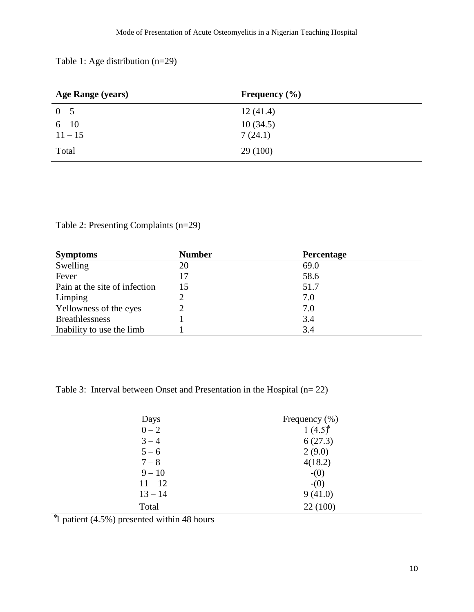Table 1: Age distribution (n=29)

| <b>Age Range (years)</b> | Frequency $(\% )$ |  |
|--------------------------|-------------------|--|
| $0 - 5$                  | 12(41.4)          |  |
| $6 - 10$                 | 10(34.5)          |  |
| $11 - 15$                | 7(24.1)           |  |
| Total                    | 29(100)           |  |

Table 2: Presenting Complaints (n=29)

| <b>Symptoms</b>               | <b>Number</b> | <b>Percentage</b> |  |
|-------------------------------|---------------|-------------------|--|
| Swelling                      | 20            | 69.0              |  |
| Fever                         | 17            | 58.6              |  |
| Pain at the site of infection | 15            | 51.7              |  |
| Limping                       |               | 7.0               |  |
| Yellowness of the eyes        | 2             | 7.0               |  |
| <b>Breathlessness</b>         |               | 3.4               |  |
| Inability to use the limb     |               | 3.4               |  |

Table 3: Interval between Onset and Presentation in the Hospital (n= 22)

| Days      | Frequency $(\% )$ |  |
|-----------|-------------------|--|
| $0 - 2$   | $1(4.5)^{*}$      |  |
| $3 - 4$   | 6(27.3)           |  |
| $5 - 6$   | 2(9.0)            |  |
| $7 - 8$   | 4(18.2)           |  |
| $9 - 10$  | $-(0)$            |  |
| $11 - 12$ | $-(0)$            |  |
| $13 - 14$ | 9(41.0)           |  |
| Total     | 22(100)           |  |
|           |                   |  |

 $\frac{1}{1}$  patient (4.5%) presented within 48 hours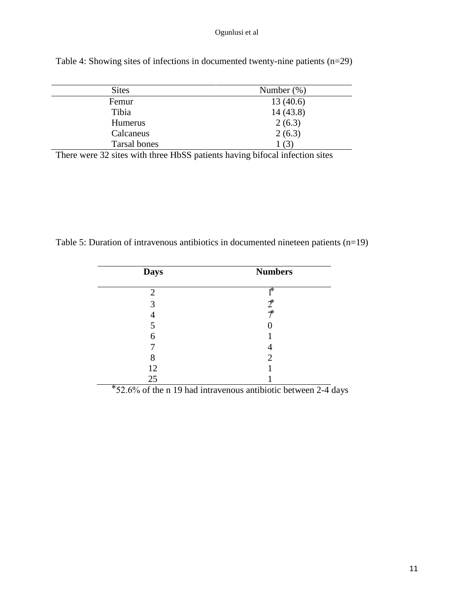| <b>Sites</b> | Number $(\%)$ |
|--------------|---------------|
| Femur        | 13(40.6)      |
| Tibia        | 14(43.8)      |
| Humerus      | 2(6.3)        |
| Calcaneus    | 2(6.3)        |
| Tarsal bones | 1(3)          |

Table 4: Showing sites of infections in documented twenty-nine patients (n=29)

There were 32 sites with three HbSS patients having bifocal infection sites

Table 5: Duration of intravenous antibiotics in documented nineteen patients (n=19)

| <b>Days</b> | <b>Numbers</b>              |
|-------------|-----------------------------|
| 2           | 1*                          |
| 3           | $2^*$                       |
|             | $\ast$                      |
| 5           |                             |
| 6           |                             |
|             |                             |
| 8           | $\mathcal{D}_{\mathcal{L}}$ |
| 12          |                             |
| 25          |                             |

 $52.6\%$  of the n 19 had intravenous antibiotic between 2-4 days